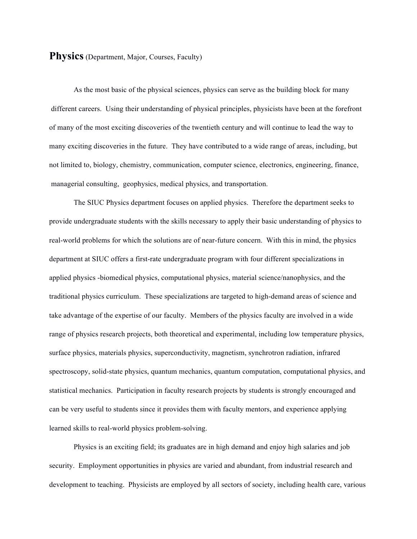#### **Physics** (Department, Major, Courses, Faculty)

As the most basic of the physical sciences, physics can serve as the building block for many different careers. Using their understanding of physical principles, physicists have been at the forefront of many of the most exciting discoveries of the twentieth century and will continue to lead the way to many exciting discoveries in the future. They have contributed to a wide range of areas, including, but not limited to, biology, chemistry, communication, computer science, electronics, engineering, finance, managerial consulting, geophysics, medical physics, and transportation.

The SIUC Physics department focuses on applied physics. Therefore the department seeks to provide undergraduate students with the skills necessary to apply their basic understanding of physics to real-world problems for which the solutions are of near-future concern. With this in mind, the physics department at SIUC offers a first-rate undergraduate program with four different specializations in applied physics -biomedical physics, computational physics, material science/nanophysics, and the traditional physics curriculum. These specializations are targeted to high-demand areas of science and take advantage of the expertise of our faculty. Members of the physics faculty are involved in a wide range of physics research projects, both theoretical and experimental, including low temperature physics, surface physics, materials physics, superconductivity, magnetism, synchrotron radiation, infrared spectroscopy, solid-state physics, quantum mechanics, quantum computation, computational physics, and statistical mechanics. Participation in faculty research projects by students is strongly encouraged and can be very useful to students since it provides them with faculty mentors, and experience applying learned skills to real-world physics problem-solving.

Physics is an exciting field; its graduates are in high demand and enjoy high salaries and job security. Employment opportunities in physics are varied and abundant, from industrial research and development to teaching. Physicists are employed by all sectors of society, including health care, various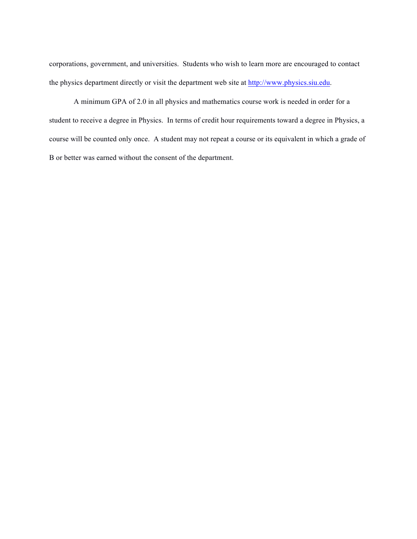corporations, government, and universities. Students who wish to learn more are encouraged to contact the physics department directly or visit the department web site at http://www.physics.siu.edu.

A minimum GPA of 2.0 in all physics and mathematics course work is needed in order for a student to receive a degree in Physics. In terms of credit hour requirements toward a degree in Physics, a course will be counted only once. A student may not repeat a course or its equivalent in which a grade of B or better was earned without the consent of the department.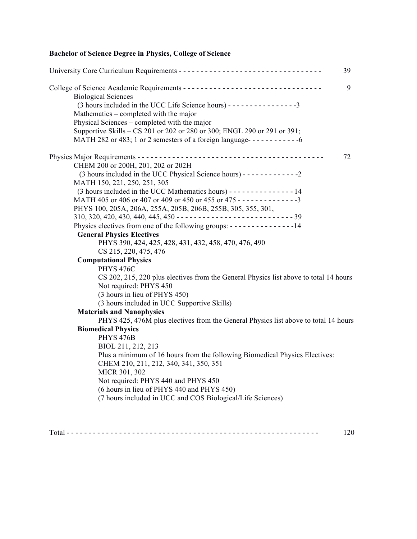### **Bachelor of Science Degree in Physics, College of Science**

|                                                                                                                                                                                                                                                                                                                                                                                                                                                                                                                                                                                                                   | 39 |
|-------------------------------------------------------------------------------------------------------------------------------------------------------------------------------------------------------------------------------------------------------------------------------------------------------------------------------------------------------------------------------------------------------------------------------------------------------------------------------------------------------------------------------------------------------------------------------------------------------------------|----|
| <b>Biological Sciences</b><br>(3 hours included in the UCC Life Science hours) - - - - - - - - - - - - - - - - 3<br>Mathematics – completed with the major<br>Physical Sciences – completed with the major<br>Supportive Skills - CS 201 or 202 or 280 or 300; ENGL 290 or 291 or 391;<br>MATH 282 or 483; 1 or 2 semesters of a foreign language------------6                                                                                                                                                                                                                                                    | 9  |
| CHEM 200 or 200H, 201, 202 or 202H<br>MATH 150, 221, 250, 251, 305<br>(3 hours included in the UCC Mathematics hours) - - - - - - - - - - - - - - - 14<br>MATH 405 or 406 or 407 or 409 or 450 or 455 or 475 - - - - - - - - - - - - - - 3<br>PHYS 100, 205A, 206A, 255A, 205B, 206B, 255B, 305, 355, 301,<br>$310, 320, 420, 430, 440, 445, 450 - \cdots - \cdots - \cdots - \cdots - \cdots - 39$<br>Physics electives from one of the following groups: - - - - - - - - - - - - - - - 14<br><b>General Physics Electives</b><br>PHYS 390, 424, 425, 428, 431, 432, 458, 470, 476, 490<br>CS 215, 220, 475, 476 | 72 |
| <b>Computational Physics</b>                                                                                                                                                                                                                                                                                                                                                                                                                                                                                                                                                                                      |    |
| <b>PHYS 476C</b><br>CS 202, 215, 220 plus electives from the General Physics list above to total 14 hours<br>Not required: PHYS 450<br>(3 hours in lieu of PHYS 450)<br>(3 hours included in UCC Supportive Skills)                                                                                                                                                                                                                                                                                                                                                                                               |    |
| <b>Materials and Nanophysics</b>                                                                                                                                                                                                                                                                                                                                                                                                                                                                                                                                                                                  |    |
| PHYS 425, 476M plus electives from the General Physics list above to total 14 hours<br><b>Biomedical Physics</b><br><b>PHYS 476B</b><br>BIOL 211, 212, 213<br>Plus a minimum of 16 hours from the following Biomedical Physics Electives:<br>CHEM 210, 211, 212, 340, 341, 350, 351<br>MICR 301, 302<br>Not required: PHYS 440 and PHYS 450<br>(6 hours in lieu of PHYS 440 and PHYS 450)<br>(7 hours included in UCC and COS Biological/Life Sciences)                                                                                                                                                           |    |
|                                                                                                                                                                                                                                                                                                                                                                                                                                                                                                                                                                                                                   |    |

 $Total \texttt{---} \texttt{---} \texttt{---} \texttt{---} \texttt{---} \texttt{---} \texttt{---} \texttt{---} \texttt{---} \texttt{---} \texttt{---} \texttt{---} \texttt{---} \texttt{---} \texttt{---} \texttt{---} \texttt{---} \texttt{---}$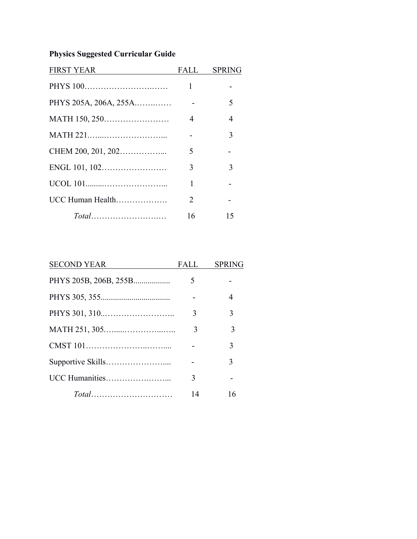# **Physics Suggested Curricular Guide**

| <b>FIRST YEAR</b>     | FALL | <b>SPRING</b> |
|-----------------------|------|---------------|
|                       | 1    |               |
| PHYS 205A, 206A, 255A |      | 5             |
|                       | 4    | 4             |
|                       |      | 3             |
|                       | 5    |               |
|                       | 3    | 3             |
|                       | 1    |               |
| UCC Human Health      | 2    |               |
|                       | 16   | 15            |

| <b>SECOND YEAR</b> | FALL | <b>SPRING</b> |
|--------------------|------|---------------|
|                    | 5    |               |
|                    |      | 4             |
|                    | 3    | 3             |
|                    | 3    | 3             |
|                    |      | 3             |
|                    |      | 3             |
|                    | 3    |               |
|                    | 14   | 16            |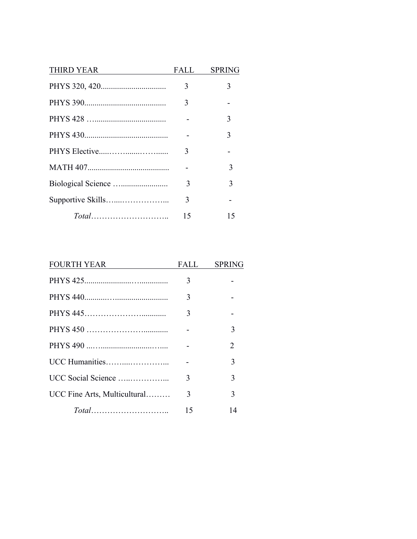| <b>THIRD YEAR</b> | FALL | <b>SPRING</b> |
|-------------------|------|---------------|
|                   | 3    | 3             |
|                   | 3    |               |
|                   |      | 3             |
|                   |      | 3             |
|                   | 3    |               |
|                   |      | 3             |
|                   | 3    | 3             |
|                   | 3    |               |
|                   | 15   | 15            |

| <b>FOURTH YEAR</b>           | FALL | <b>SPRING</b> |
|------------------------------|------|---------------|
|                              | 3    |               |
|                              | 3    |               |
|                              | 3    |               |
|                              |      | 3             |
|                              |      | 2             |
|                              |      | 3             |
| UCC Social Science           | 3    | 3             |
| UCC Fine Arts, Multicultural | 3    | 3             |
|                              | 15   | 14            |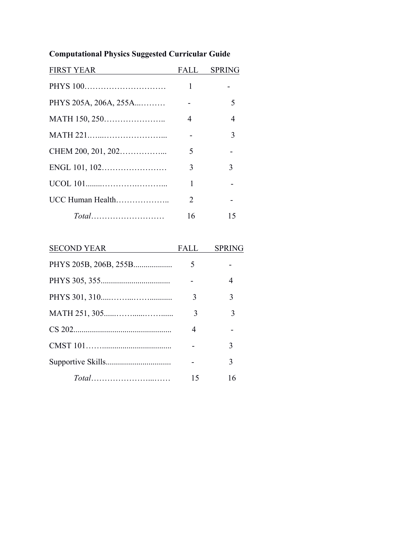# **Computational Physics Suggested Curricular Guide**

| <b>FIRST YEAR</b>     |    | FALL SPRING |
|-----------------------|----|-------------|
|                       | 1  |             |
| PHYS 205A, 206A, 255A |    | 5           |
|                       | 4  | 4           |
|                       |    | 3           |
| CHEM 200, 201, 202    | 5  |             |
|                       | 3  | 3           |
|                       | 1  |             |
| UCC Human Health      | 2  |             |
|                       | 16 | 15          |

| <b>SECOND YEAR</b> | FALL | <b>SPRING</b> |
|--------------------|------|---------------|
|                    | 5    |               |
|                    |      | 4             |
|                    | 3    | 3             |
|                    | 3    | 3             |
|                    | 4    |               |
|                    |      | 3             |
|                    |      | 3             |
|                    | 15   | 16            |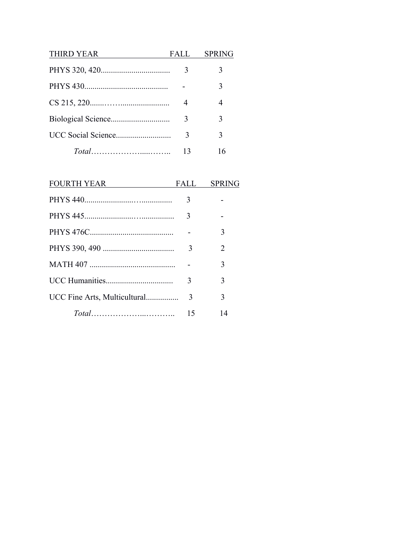| <b>THIRD YEAR</b> | FALL | <b>SPRING</b> |
|-------------------|------|---------------|
|                   | 3    |               |
|                   |      | 3             |
|                   | 4    | 4             |
|                   | 3    | 3             |
|                   | 3    | 3             |
|                   | 13   | 16            |

| <b>FOURTH YEAR</b>           | FALL | <b>SPRING</b> |
|------------------------------|------|---------------|
|                              | 3    |               |
|                              | 3    |               |
|                              |      | 3             |
|                              | 3    | 2             |
|                              |      | 3             |
|                              | 3    | 3             |
| UCC Fine Arts, Multicultural | 3    | 3             |
|                              | 15   | 14            |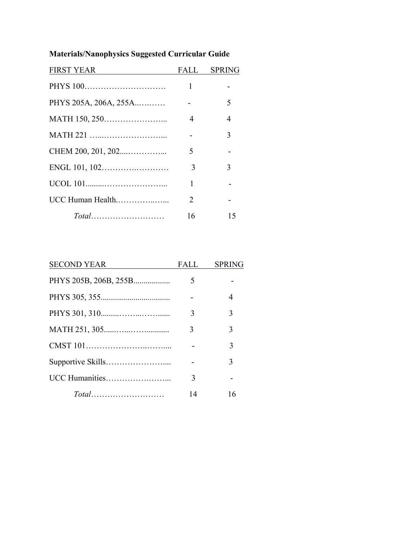# **Materials/Nanophysics Suggested Curricular Guide**

| <b>FIRST YEAR</b>     |    | FALL SPRING    |
|-----------------------|----|----------------|
|                       | 1  |                |
| PHYS 205A, 206A, 255A |    | 5              |
|                       | 4  | $\overline{4}$ |
|                       |    | 3              |
|                       | 5  |                |
|                       | 3  | 3              |
|                       | 1  |                |
| UCC Human Health      | 2  |                |
|                       | 16 | 15             |

| <b>SECOND YEAR</b>    | FALL | <b>SPRING</b> |
|-----------------------|------|---------------|
| PHYS 205B, 206B, 255B | 5    |               |
|                       |      | 4             |
|                       | 3    | 3             |
|                       | 3    | 3             |
|                       |      | 3             |
|                       |      | 3             |
|                       | 3    |               |
|                       | 14   | 16            |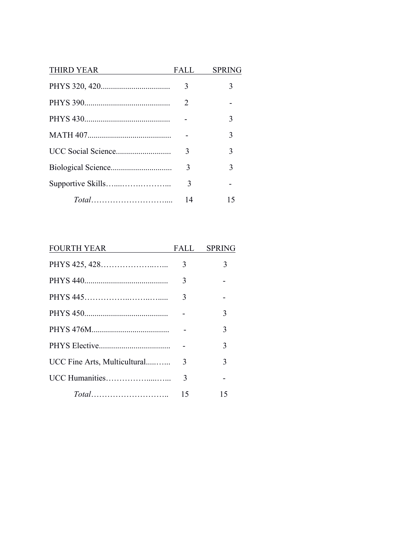| <b>THIRD YEAR</b> | FALL | <b>SPRING</b> |
|-------------------|------|---------------|
|                   | 3    | 3             |
|                   | 2    |               |
|                   |      | 3             |
|                   |      | 3             |
|                   | 3    | 3             |
|                   | 3    | 3             |
|                   | 3    |               |
|                   | 14   | 15            |

| <b>FOURTH YEAR</b>           |    | FALL SPRING |
|------------------------------|----|-------------|
|                              | 3  | 3           |
|                              | 3  |             |
|                              | 3  |             |
|                              |    | 3           |
|                              |    | 3           |
|                              |    | 3           |
| UCC Fine Arts, Multicultural | -3 | 3           |
|                              | 3  |             |
|                              | 15 | 15          |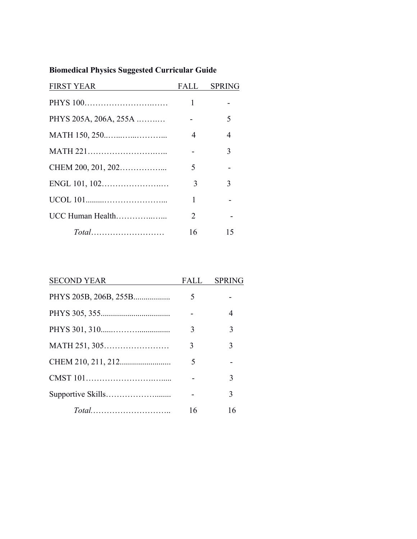# **Biomedical Physics Suggested Curricular Guide**

| <b>FIRST YEAR</b>     | FALL                  | <b>SPRING</b> |
|-----------------------|-----------------------|---------------|
|                       |                       |               |
| PHYS 205A, 206A, 255A |                       | 5             |
|                       | $\overline{4}$        | 4             |
|                       |                       | 3             |
|                       | 5                     |               |
|                       | 3                     | 3             |
|                       | 1                     |               |
| UCC Human Health      | $\mathcal{D}_{\cdot}$ |               |
|                       | 16                    | 15            |

| <b>SECOND YEAR</b>    | FALL | <b>SPRING</b> |
|-----------------------|------|---------------|
| PHYS 205B, 206B, 255B | 5    |               |
|                       |      | 4             |
|                       | 3    | 3             |
| MATH 251, 305         | 3    | 3             |
|                       | 5    |               |
|                       |      | 3             |
|                       |      | 3             |
|                       | 16   | 16            |